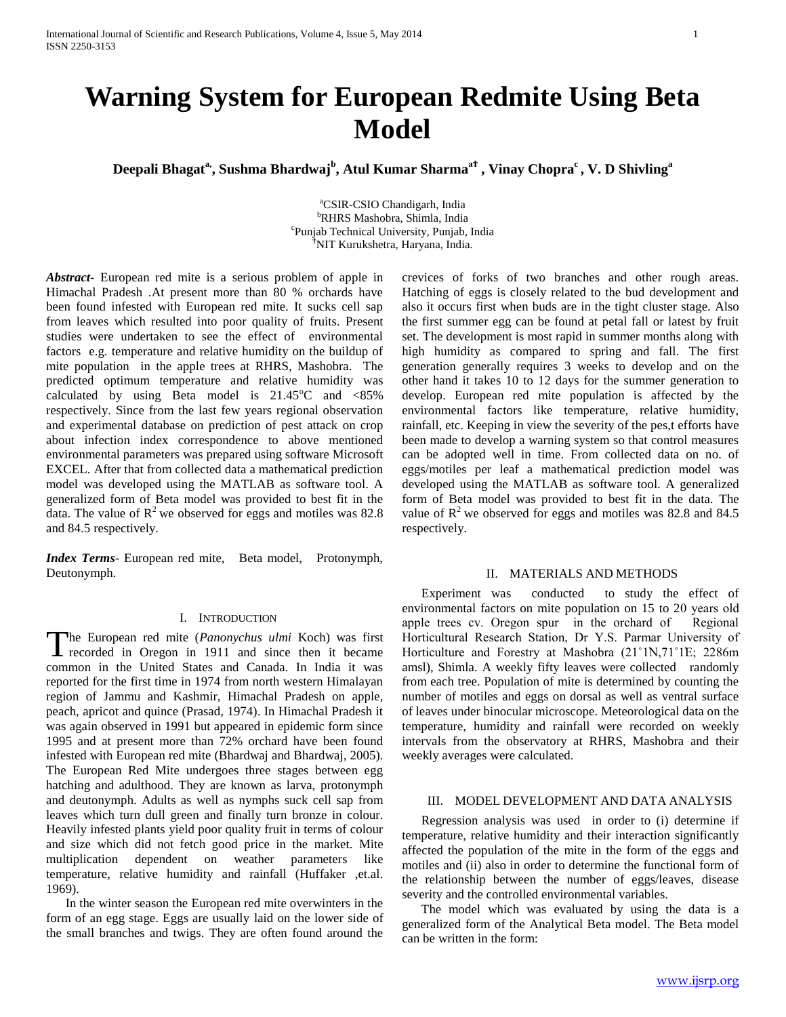# **Warning System for European Redmite Using Beta Model**

**Deepali Bhagata,, Sushma Bhardwaj<sup>b</sup> , Atul Kumar SharmaaϮ , Vinay Chopra<sup>c</sup>, V. D Shivling<sup>a</sup>**

<sup>a</sup>CSIR-CSIO Chandigarh, India <sup>b</sup>RHRS Mashobra, Shimla, India c Punjab Technical University, Punjab, India <sup>Ϯ</sup>NIT Kurukshetra, Haryana, India.

*Abstract***-** European red mite is a serious problem of apple in Himachal Pradesh .At present more than 80 % orchards have been found infested with European red mite. It sucks cell sap from leaves which resulted into poor quality of fruits. Present studies were undertaken to see the effect of environmental factors e.g. temperature and relative humidity on the buildup of mite population in the apple trees at RHRS, Mashobra. The predicted optimum temperature and relative humidity was calculated by using Beta model is  $21.45^{\circ}$ C and <85% respectively. Since from the last few years regional observation and experimental database on prediction of pest attack on crop about infection index correspondence to above mentioned environmental parameters was prepared using software Microsoft EXCEL. After that from collected data a mathematical prediction model was developed using the MATLAB as software tool. A generalized form of Beta model was provided to best fit in the data. The value of  $R^2$  we observed for eggs and motiles was 82.8 and 84.5 respectively.

*Index Terms*- European red mite, Beta model, Protonymph, Deutonymph.

# I. INTRODUCTION

he European red mite (*Panonychus ulmi* Koch) was first The European red mite (Panonychus ulmi Koch) was first<br>recorded in Oregon in 1911 and since then it became common in the United States and Canada. In India it was reported for the first time in 1974 from north western Himalayan region of Jammu and Kashmir, Himachal Pradesh on apple, peach, apricot and quince (Prasad, 1974). In Himachal Pradesh it was again observed in 1991 but appeared in epidemic form since 1995 and at present more than 72% orchard have been found infested with European red mite (Bhardwaj and Bhardwaj, 2005). The European Red Mite undergoes three stages between egg hatching and adulthood. They are known as larva, protonymph and deutonymph. Adults as well as nymphs suck cell sap from leaves which turn dull green and finally turn bronze in colour. Heavily infested plants yield poor quality fruit in terms of colour and size which did not fetch good price in the market. Mite multiplication dependent on weather parameters like temperature, relative humidity and rainfall (Huffaker ,et.al. 1969).

 In the winter season the European red mite overwinters in the form of an egg stage. Eggs are usually laid on the lower side of the small branches and twigs. They are often found around the crevices of forks of two branches and other rough areas. Hatching of eggs is closely related to the bud development and also it occurs first when buds are in the tight cluster stage. Also the first summer egg can be found at petal fall or latest by fruit set. The development is most rapid in summer months along with high humidity as compared to spring and fall. The first generation generally requires 3 weeks to develop and on the other hand it takes 10 to 12 days for the summer generation to develop. European red mite population is affected by the environmental factors like temperature, relative humidity, rainfall, etc. Keeping in view the severity of the pes,t efforts have been made to develop a warning system so that control measures can be adopted well in time. From collected data on no. of eggs/motiles per leaf a mathematical prediction model was developed using the MATLAB as software tool. A generalized form of Beta model was provided to best fit in the data. The value of  $\mathbb{R}^2$  we observed for eggs and motiles was 82.8 and 84.5 respectively.

## II. MATERIALS AND METHODS

 Experiment was conducted to study the effect of environmental factors on mite population on 15 to 20 years old apple trees cv. Oregon spur in the orchard of Regional Horticultural Research Station, Dr Y.S. Parmar University of Horticulture and Forestry at Mashobra (21°1N,71°1E; 2286m amsl), Shimla. A weekly fifty leaves were collected randomly from each tree. Population of mite is determined by counting the number of motiles and eggs on dorsal as well as ventral surface of leaves under binocular microscope. Meteorological data on the temperature, humidity and rainfall were recorded on weekly intervals from the observatory at RHRS, Mashobra and their weekly averages were calculated.

## III. MODEL DEVELOPMENT AND DATA ANALYSIS

 Regression analysis was used in order to (i) determine if temperature, relative humidity and their interaction significantly affected the population of the mite in the form of the eggs and motiles and (ii) also in order to determine the functional form of the relationship between the number of eggs/leaves, disease severity and the controlled environmental variables.

 The model which was evaluated by using the data is a generalized form of the Analytical Beta model. The Beta model can be written in the form: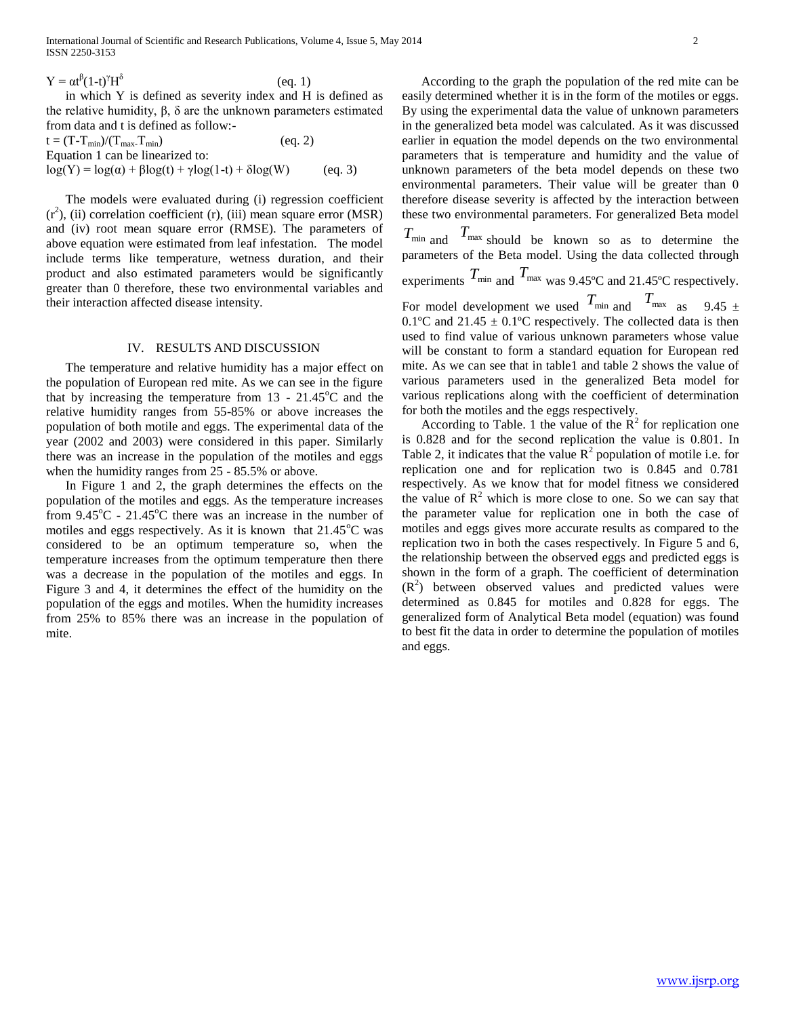$Y = \alpha t^{\beta} (1-t)^{\gamma} H^{\delta}$ (eq. 1) in which Y is defined as severity index and H is defined as the relative humidity,  $β$ ,  $δ$  are the unknown parameters estimated from data and t is defined as follow:-

$$
t = (T - T_{min})/(T_{max} - T_{min})
$$
 (eq. 2)  
Equation 1 can be linearized to:  

$$
log(Y) = log(\alpha) + \beta log(t) + \gamma log(1 - t) + \delta log(W)
$$
 (eq. 3)

 The models were evaluated during (i) regression coefficient  $(r<sup>2</sup>)$ , (ii) correlation coefficient (r), (iii) mean square error (MSR) and (iv) root mean square error (RMSE). The parameters of above equation were estimated from leaf infestation. The model include terms like temperature, wetness duration, and their product and also estimated parameters would be significantly greater than 0 therefore, these two environmental variables and their interaction affected disease intensity.

## IV. RESULTS AND DISCUSSION

 The temperature and relative humidity has a major effect on the population of European red mite. As we can see in the figure that by increasing the temperature from  $13 - 21.45^{\circ}\text{C}$  and the relative humidity ranges from 55-85% or above increases the population of both motile and eggs. The experimental data of the year (2002 and 2003) were considered in this paper. Similarly there was an increase in the population of the motiles and eggs when the humidity ranges from 25 - 85.5% or above.

 In Figure 1 and 2, the graph determines the effects on the population of the motiles and eggs. As the temperature increases from  $9.45^{\circ}$ C -  $21.45^{\circ}$ C there was an increase in the number of motiles and eggs respectively. As it is known that  $21.45^{\circ}$ C was considered to be an optimum temperature so, when the temperature increases from the optimum temperature then there was a decrease in the population of the motiles and eggs. In Figure 3 and 4, it determines the effect of the humidity on the population of the eggs and motiles. When the humidity increases from 25% to 85% there was an increase in the population of mite.

 According to the graph the population of the red mite can be easily determined whether it is in the form of the motiles or eggs. By using the experimental data the value of unknown parameters in the generalized beta model was calculated. As it was discussed earlier in equation the model depends on the two environmental parameters that is temperature and humidity and the value of unknown parameters of the beta model depends on these two environmental parameters. Their value will be greater than 0 therefore disease severity is affected by the interaction between these two environmental parameters. For generalized Beta model  $T_{\min}$  and  $T_{\max}$  should be known so as to determine the

parameters of the Beta model. Using the data collected through experiments  $T_{\text{min}}$  and  $T_{\text{max}}$  was 9.45°C and 21.45°C respectively.

For model development we used  $T_{\text{min}}$  and  $T_{\text{max}}$  $9.45 +$ 0.1°C and 21.45  $\pm$  0.1°C respectively. The collected data is then used to find value of various unknown parameters whose value will be constant to form a standard equation for European red mite. As we can see that in table1 and table 2 shows the value of various parameters used in the generalized Beta model for various replications along with the coefficient of determination for both the motiles and the eggs respectively.

According to Table. 1 the value of the  $R^2$  for replication one is 0.828 and for the second replication the value is 0.801. In Table 2, it indicates that the value  $\mathbb{R}^2$  population of motile i.e. for replication one and for replication two is 0.845 and 0.781 respectively. As we know that for model fitness we considered the value of  $\mathbb{R}^2$  which is more close to one. So we can say that the parameter value for replication one in both the case of motiles and eggs gives more accurate results as compared to the replication two in both the cases respectively. In Figure 5 and 6, the relationship between the observed eggs and predicted eggs is shown in the form of a graph. The coefficient of determination  $(R<sup>2</sup>)$  between observed values and predicted values were determined as 0.845 for motiles and 0.828 for eggs. The generalized form of Analytical Beta model (equation) was found to best fit the data in order to determine the population of motiles and eggs.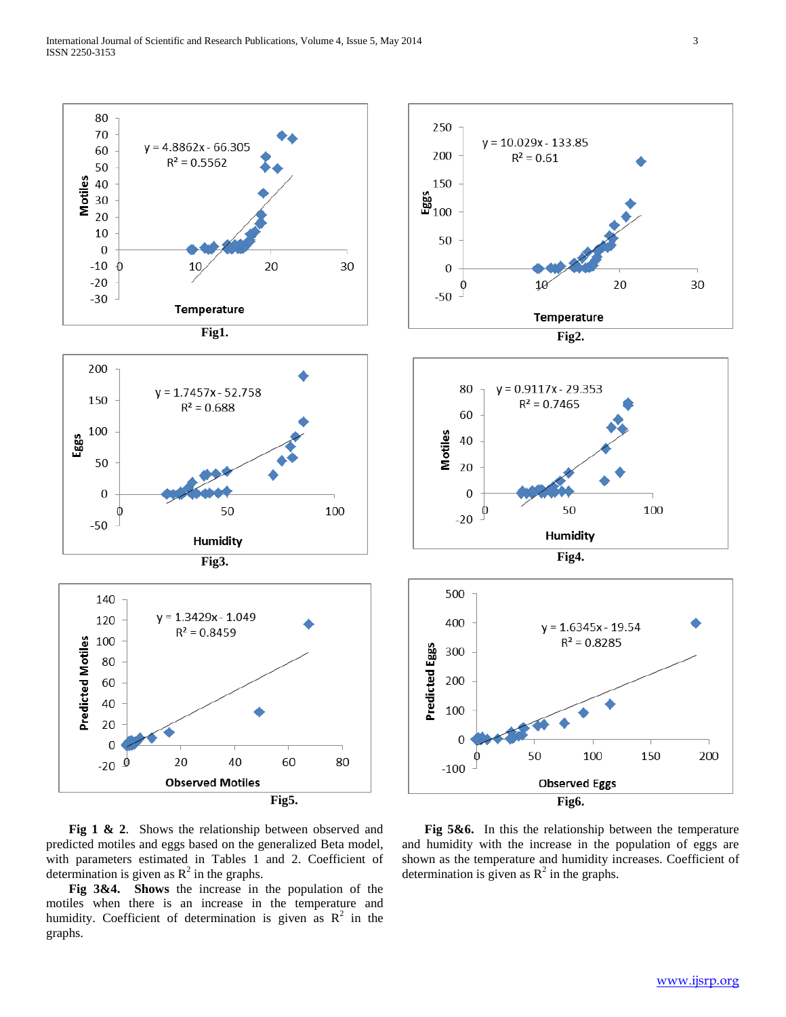

 **Fig 1 & 2**. Shows the relationship between observed and predicted motiles and eggs based on the generalized Beta model, with parameters estimated in Tables 1 and 2. Coefficient of determination is given as  $R^2$  in the graphs.

 **Fig 3&4. Shows** the increase in the population of the motiles when there is an increase in the temperature and humidity. Coefficient of determination is given as  $\mathbb{R}^2$  in the graphs.

 **Fig 5&6.** In this the relationship between the temperature and humidity with the increase in the population of eggs are shown as the temperature and humidity increases. Coefficient of determination is given as  $R^2$  in the graphs.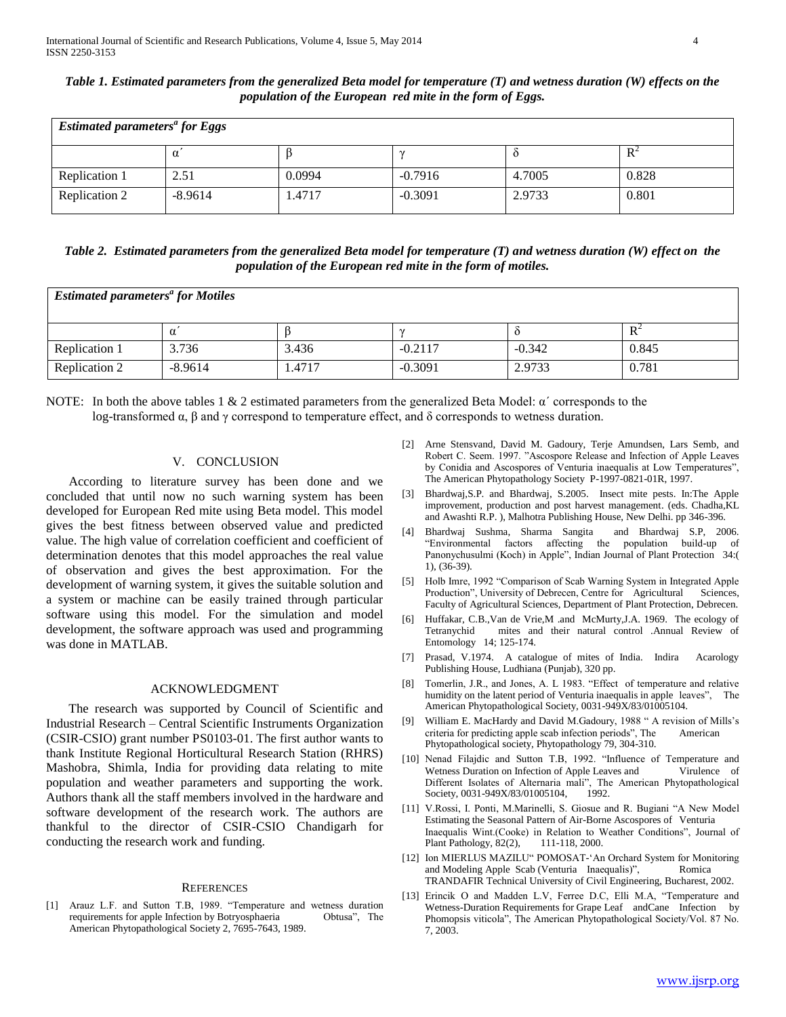*Table 1. Estimated parameters from the generalized Beta model for temperature (T) and wetness duration (W) effects on the population of the European red mite in the form of Eggs.*

| <b>Estimated parameters<sup>a</sup> for Eggs</b> |           |        |           |        |       |  |  |  |
|--------------------------------------------------|-----------|--------|-----------|--------|-------|--|--|--|
|                                                  |           |        |           | -0     |       |  |  |  |
| Replication 1                                    | 2.51      | 0.0994 | $-0.7916$ | 4.7005 | 0.828 |  |  |  |
| Replication 2                                    | $-8.9614$ | 1.4717 | $-0.3091$ | 2.9733 | 0.801 |  |  |  |

*Table 2. Estimated parameters from the generalized Beta model for temperature (T) and wetness duration (W) effect on the population of the European red mite in the form of motiles.*

| <b>Estimated parameters<sup>a</sup> for Motiles</b> |           |        |           |          |       |  |  |  |
|-----------------------------------------------------|-----------|--------|-----------|----------|-------|--|--|--|
|                                                     |           |        |           |          | $R^2$ |  |  |  |
| Replication 1                                       | 3.736     | 3.436  | $-0.2117$ | $-0.342$ | 0.845 |  |  |  |
| Replication 2                                       | $-8.9614$ | 1.4717 | $-0.3091$ | 2.9733   | 0.781 |  |  |  |

NOTE: In both the above tables 1 & 2 estimated parameters from the generalized Beta Model:  $\alpha'$  corresponds to the log-transformed  $\alpha$ ,  $\beta$  and  $\gamma$  correspond to temperature effect, and  $\delta$  corresponds to wetness duration.

#### V. CONCLUSION

According to literature survey has been done and we concluded that until now no such warning system has been developed for European Red mite using Beta model. This model gives the best fitness between observed value and predicted value. The high value of correlation coefficient and coefficient of determination denotes that this model approaches the real value of observation and gives the best approximation. For the development of warning system, it gives the suitable solution and a system or machine can be easily trained through particular software using this model. For the simulation and model development, the software approach was used and programming was done in MATLAB.

#### ACKNOWLEDGMENT

The research was supported by Council of Scientific and Industrial Research – Central Scientific Instruments Organization (CSIR-CSIO) grant number PS0103-01. The first author wants to thank Institute Regional Horticultural Research Station (RHRS) Mashobra, Shimla, India for providing data relating to mite population and weather parameters and supporting the work. Authors thank all the staff members involved in the hardware and software development of the research work. The authors are thankful to the director of CSIR-CSIO Chandigarh for conducting the research work and funding.

#### **REFERENCES**

[1] Arauz L.F. and Sutton T.B, 1989. "Temperature and wetness duration requirements for apple Infection by Botryosphaeria **Dobusa**", The American Phytopathological Society 2, 7695-7643, 1989.

- [2] Arne Stensvand, David M. Gadoury, Terje Amundsen, Lars Semb, and Robert C. Seem. 1997. "Ascospore Release and Infection of Apple Leaves by Conidia and Ascospores of Venturia inaequalis at Low Temperatures", The American Phytopathology Society P-1997-0821-01R, 1997.
- [3] Bhardwaj,S.P. and Bhardwaj, S.2005. Insect mite pests. In:The Apple improvement, production and post harvest management. (eds. Chadha,KL and Awashti R.P. ), Malhotra Publishing House, New Delhi. pp 346-396.
- [4] Bhardwaj Sushma, Sharma Sangita and Bhardwaj S.P, 2006. "Environmental factors affecting the population build-up of Panonychusulmi (Koch) in Apple", Indian Journal of Plant Protection 34:( 1), (36-39).
- [5] Holb Imre, 1992 "Comparison of Scab Warning System in Integrated Apple Production", University of Debrecen, Centre for Agricultural Sciences, Faculty of Agricultural Sciences, Department of Plant Protection, Debrecen.
- [6] Huffakar, C.B.,Van de Vrie,M .and McMurty,J.A. 1969. The ecology of Tetranychid mites and their natural control .Annual Review of Entomology 14; 125-174.
- [7] Prasad, V.1974. A catalogue of mites of India. Indira Acarology Publishing House, Ludhiana (Punjab), 320 pp.
- [8] Tomerlin, J.R., and Jones, A. L 1983. "Effect of temperature and relative humidity on the latent period of Venturia inaequalis in apple leaves", The American Phytopathological Society, 0031-949X/83/01005104.
- [9] William E. MacHardy and David M.Gadoury, 1988 " A revision of Mills's criteria for predicting apple scab infection periods", The American Phytopathological society, Phytopathology 79, 304-310.
- [10] Nenad Filajdic and Sutton T.B, 1992. "Influence of Temperature and Wetness Duration on Infection of Apple Leaves and Virulence of Different Isolates of Alternaria mali", The American Phytopathological Society, 0031-949X/83/01005104, 1992.
- [11] V.Rossi, I. Ponti, M.Marinelli, S. Giosue and R. Bugiani "A New Model Estimating the Seasonal Pattern of Air-Borne Ascospores of Venturia Inaequalis Wint.(Cooke) in Relation to Weather Conditions", Journal of Plant Pathology, 82(2), 111-118, 2000.
- [12] Ion MIERLUS MAZILU" POMOSAT-'An Orchard System for Monitoring and Modeling Apple Scab (Venturia Inaequalis)", Romica TRANDAFIR Technical University of Civil Engineering, Bucharest, 2002.
- [13] Erincik O and Madden L.V, Ferree D.C, Elli M.A, "Temperature and Wetness-Duration Requirements for Grape Leaf andCane Infection by Phomopsis viticola", The American Phytopathological Society/Vol. 87 No. 7, 2003.